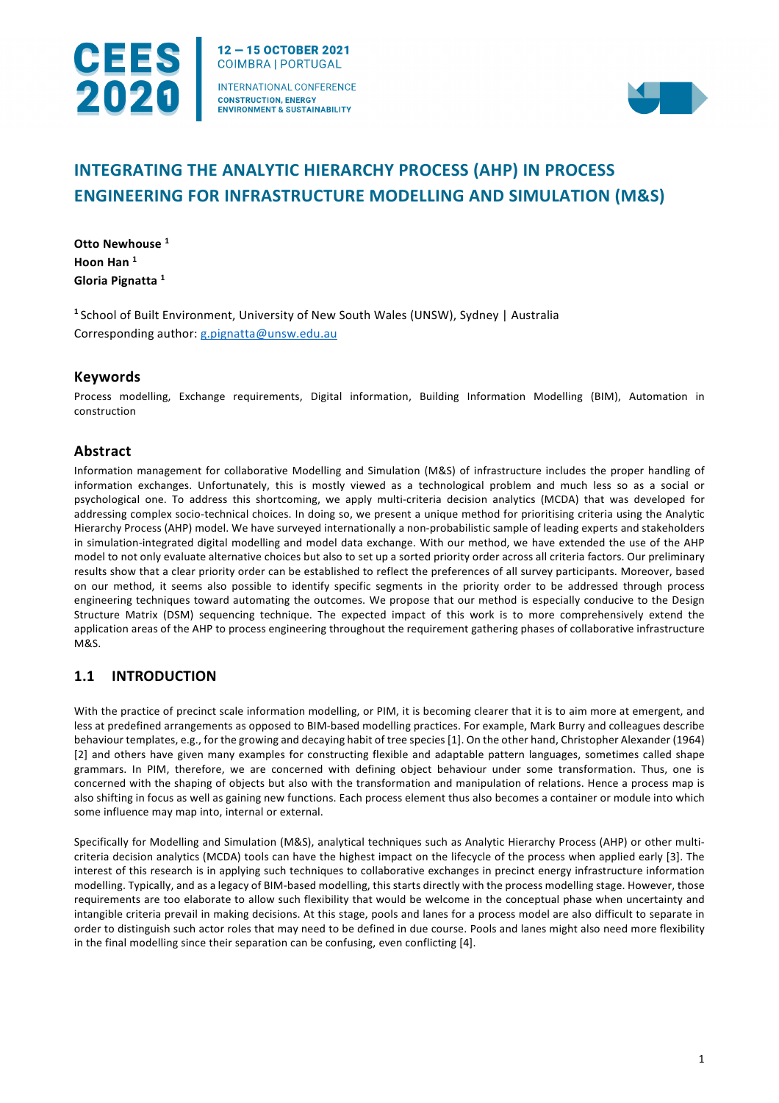

12-15 OCTOBER 2021 **COIMBRA | PORTUGAL INTERNATIONAL CONFERENCE CONSTRUCTION, ENERGY ENVIRONMENT & SUSTAINABILITY** 



# **INTEGRATING THE ANALYTIC HIERARCHY PROCESS (AHP) IN PROCESS ENGINEERING FOR INFRASTRUCTURE MODELLING AND SIMULATION (M&S)**

**Otto Newhouse <sup>1</sup> Hoon Han <sup>1</sup> Gloria Pignatta <sup>1</sup>**

**<sup>1</sup>** School of Built Environment, University of New South Wales (UNSW), Sydney | Australia Corresponding author: [g.pignatta@unsw.edu.au](mailto:g.pignatta@unsw.edu.au)

# **Keywords**

Process modelling, Exchange requirements, Digital information, Building Information Modelling (BIM), Automation in construction

# **Abstract**

Information management for collaborative Modelling and Simulation (M&S) of infrastructure includes the proper handling of information exchanges. Unfortunately, this is mostly viewed as a technological problem and much less so as a social or psychological one. To address this shortcoming, we apply multi-criteria decision analytics (MCDA) that was developed for addressing complex socio-technical choices. In doing so, we present a unique method for prioritising criteria using the Analytic Hierarchy Process (AHP) model. We have surveyed internationally a non-probabilistic sample of leading experts and stakeholders in simulation-integrated digital modelling and model data exchange. With our method, we have extended the use of the AHP model to not only evaluate alternative choices but also to set up a sorted priority order across all criteria factors. Our preliminary results show that a clear priority order can be established to reflect the preferences of all survey participants. Moreover, based on our method, it seems also possible to identify specific segments in the priority order to be addressed through process engineering techniques toward automating the outcomes. We propose that our method is especially conducive to the Design Structure Matrix (DSM) sequencing technique. The expected impact of this work is to more comprehensively extend the application areas of the AHP to process engineering throughout the requirement gathering phases of collaborative infrastructure M&S.

# **1.1 INTRODUCTION**

With the practice of precinct scale information modelling, or PIM, it is becoming clearer that it is to aim more at emergent, and less at predefined arrangements as opposed to BIM-based modelling practices. For example, Mark Burry and colleagues describe behaviour templates, e.g., for the growing and decaying habit of tree species [1]. On the other hand, Christopher Alexander (1964) [2] and others have given many examples for constructing flexible and adaptable pattern languages, sometimes called shape grammars. In PIM, therefore, we are concerned with defining object behaviour under some transformation. Thus, one is concerned with the shaping of objects but also with the transformation and manipulation of relations. Hence a process map is also shifting in focus as well as gaining new functions. Each process element thus also becomes a container or module into which some influence may map into, internal or external.

Specifically for Modelling and Simulation (M&S), analytical techniques such as Analytic Hierarchy Process (AHP) or other multicriteria decision analytics (MCDA) tools can have the highest impact on the lifecycle of the process when applied early [3]. The interest of this research is in applying such techniques to collaborative exchanges in precinct energy infrastructure information modelling. Typically, and as a legacy of BIM-based modelling, this starts directly with the process modelling stage. However, those requirements are too elaborate to allow such flexibility that would be welcome in the conceptual phase when uncertainty and intangible criteria prevail in making decisions. At this stage, pools and lanes for a process model are also difficult to separate in order to distinguish such actor roles that may need to be defined in due course. Pools and lanes might also need more flexibility in the final modelling since their separation can be confusing, even conflicting [4].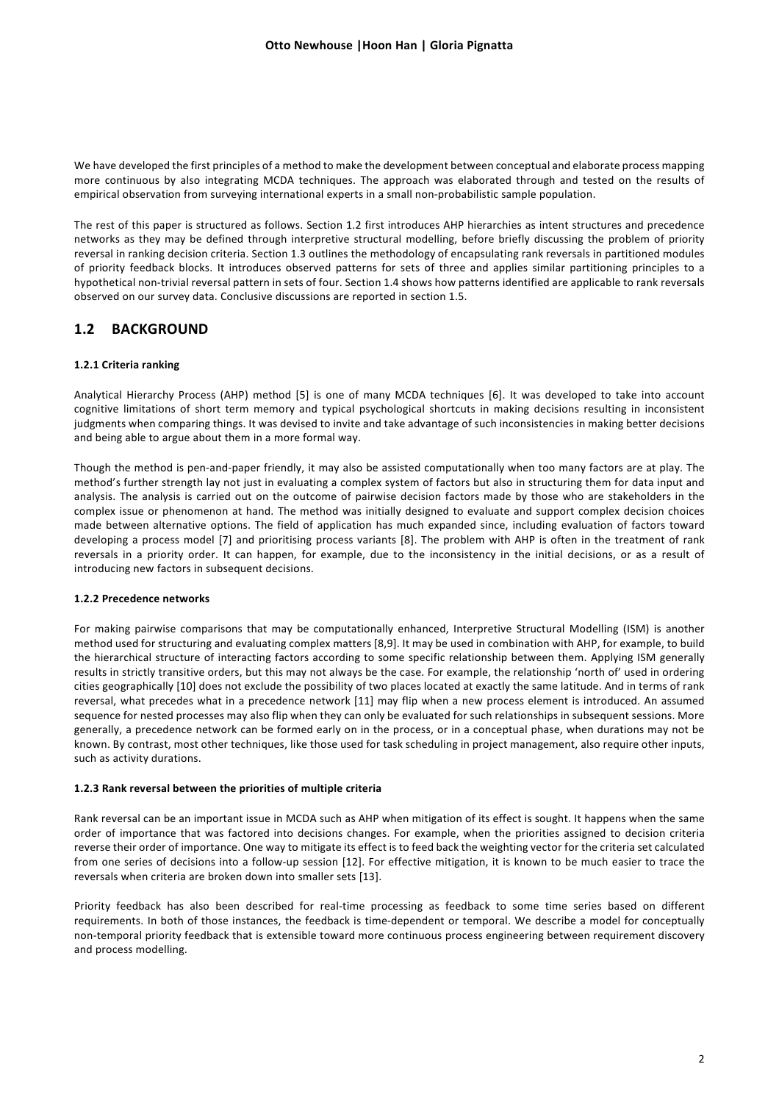We have developed the first principles of a method to make the development between conceptual and elaborate process mapping more continuous by also integrating MCDA techniques. The approach was elaborated through and tested on the results of empirical observation from surveying international experts in a small non-probabilistic sample population.

The rest of this paper is structured as follows. Section 1.2 first introduces AHP hierarchies as intent structures and precedence networks as they may be defined through interpretive structural modelling, before briefly discussing the problem of priority reversal in ranking decision criteria. Section 1.3 outlines the methodology of encapsulating rank reversals in partitioned modules of priority feedback blocks. It introduces observed patterns for sets of three and applies similar partitioning principles to a hypothetical non-trivial reversal pattern in sets of four. Section 1.4 shows how patterns identified are applicable to rank reversals observed on our survey data. Conclusive discussions are reported in section 1.5.

## **1.2 BACKGROUND**

### **1.2.1 Criteria ranking**

Analytical Hierarchy Process (AHP) method [5] is one of many MCDA techniques [6]. It was developed to take into account cognitive limitations of short term memory and typical psychological shortcuts in making decisions resulting in inconsistent judgments when comparing things. It was devised to invite and take advantage of such inconsistencies in making better decisions and being able to argue about them in a more formal way.

Though the method is pen-and-paper friendly, it may also be assisted computationally when too many factors are at play. The method's further strength lay not just in evaluating a complex system of factors but also in structuring them for data input and analysis. The analysis is carried out on the outcome of pairwise decision factors made by those who are stakeholders in the complex issue or phenomenon at hand. The method was initially designed to evaluate and support complex decision choices made between alternative options. The field of application has much expanded since, including evaluation of factors toward developing a process model [7] and prioritising process variants [8]. The problem with AHP is often in the treatment of rank reversals in a priority order. It can happen, for example, due to the inconsistency in the initial decisions, or as a result of introducing new factors in subsequent decisions.

### **1.2.2 Precedence networks**

For making pairwise comparisons that may be computationally enhanced, Interpretive Structural Modelling (ISM) is another method used for structuring and evaluating complex matters [8,9]. It may be used in combination with AHP, for example, to build the hierarchical structure of interacting factors according to some specific relationship between them. Applying ISM generally results in strictly transitive orders, but this may not always be the case. For example, the relationship 'north of' used in ordering cities geographically [10] does not exclude the possibility of two places located at exactly the same latitude. And in terms of rank reversal, what precedes what in a precedence network [11] may flip when a new process element is introduced. An assumed sequence for nested processes may also flip when they can only be evaluated for such relationships in subsequent sessions. More generally, a precedence network can be formed early on in the process, or in a conceptual phase, when durations may not be known. By contrast, most other techniques, like those used for task scheduling in project management, also require other inputs, such as activity durations.

#### **1.2.3 Rank reversal between the priorities of multiple criteria**

Rank reversal can be an important issue in MCDA such as AHP when mitigation of its effect is sought. It happens when the same order of importance that was factored into decisions changes. For example, when the priorities assigned to decision criteria reverse their order of importance. One way to mitigate its effect is to feed back the weighting vector for the criteria set calculated from one series of decisions into a follow-up session [12]. For effective mitigation, it is known to be much easier to trace the reversals when criteria are broken down into smaller sets [13].

Priority feedback has also been described for real-time processing as feedback to some time series based on different requirements. In both of those instances, the feedback is time-dependent or temporal. We describe a model for conceptually non-temporal priority feedback that is extensible toward more continuous process engineering between requirement discovery and process modelling.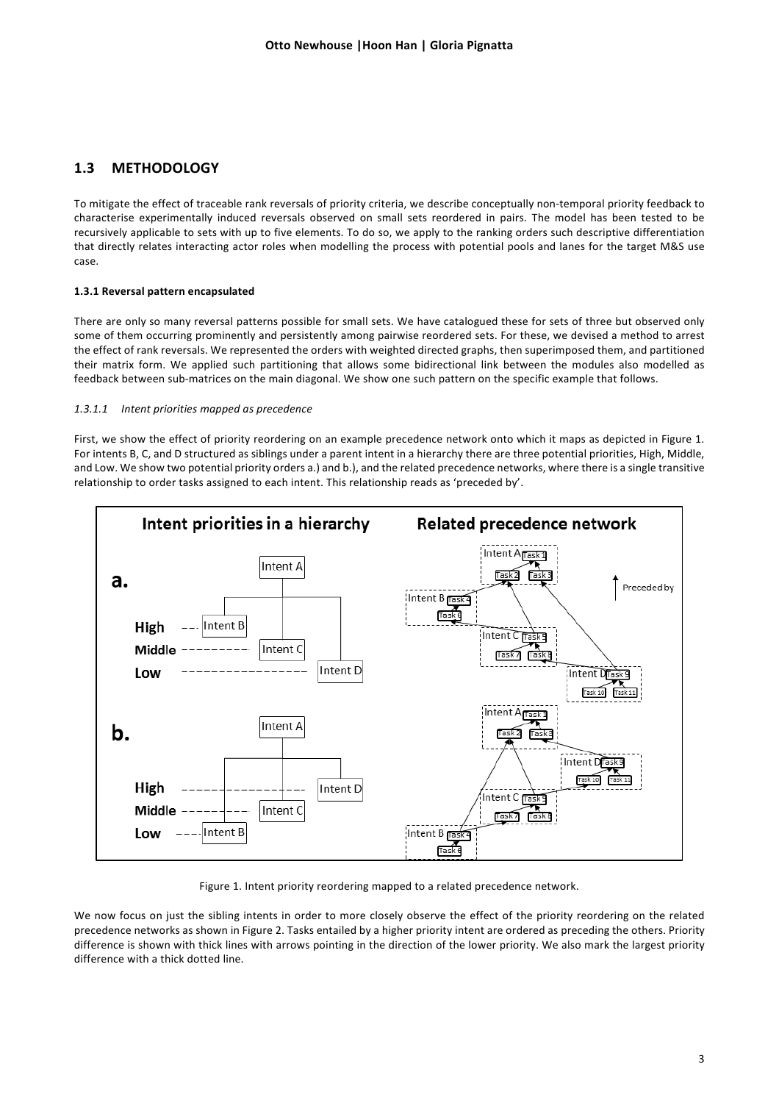# **1.3 METHODOLOGY**

To mitigate the effect of traceable rank reversals of priority criteria, we describe conceptually non-temporal priority feedback to characterise experimentally induced reversals observed on small sets reordered in pairs. The model has been tested to be recursively applicable to sets with up to five elements. To do so, we apply to the ranking orders such descriptive differentiation that directly relates interacting actor roles when modelling the process with potential pools and lanes for the target M&S use case.

### **1.3.1 Reversal pattern encapsulated**

There are only so many reversal patterns possible for small sets. We have catalogued these for sets of three but observed only some of them occurring prominently and persistently among pairwise reordered sets. For these, we devised a method to arrest the effect of rank reversals. We represented the orders with weighted directed graphs, then superimposed them, and partitioned their matrix form. We applied such partitioning that allows some bidirectional link between the modules also modelled as feedback between sub-matrices on the main diagonal. We show one such pattern on the specific example that follows.

### *1.3.1.1 Intent priorities mapped as precedence*

First, we show the effect of priority reordering on an example precedence network onto which it maps as depicted in Figure 1. For intents B, C, and D structured as siblings under a parent intent in a hierarchy there are three potential priorities, High, Middle, and Low. We show two potential priority orders a.) and b.), and the related precedence networks, where there is a single transitive relationship to order tasks assigned to each intent. This relationship reads as 'preceded by'.



Figure 1. Intent priority reordering mapped to a related precedence network.

We now focus on just the sibling intents in order to more closely observe the effect of the priority reordering on the related precedence networks as shown in Figure 2. Tasks entailed by a higher priority intent are ordered as preceding the others. Priority difference is shown with thick lines with arrows pointing in the direction of the lower priority. We also mark the largest priority difference with a thick dotted line.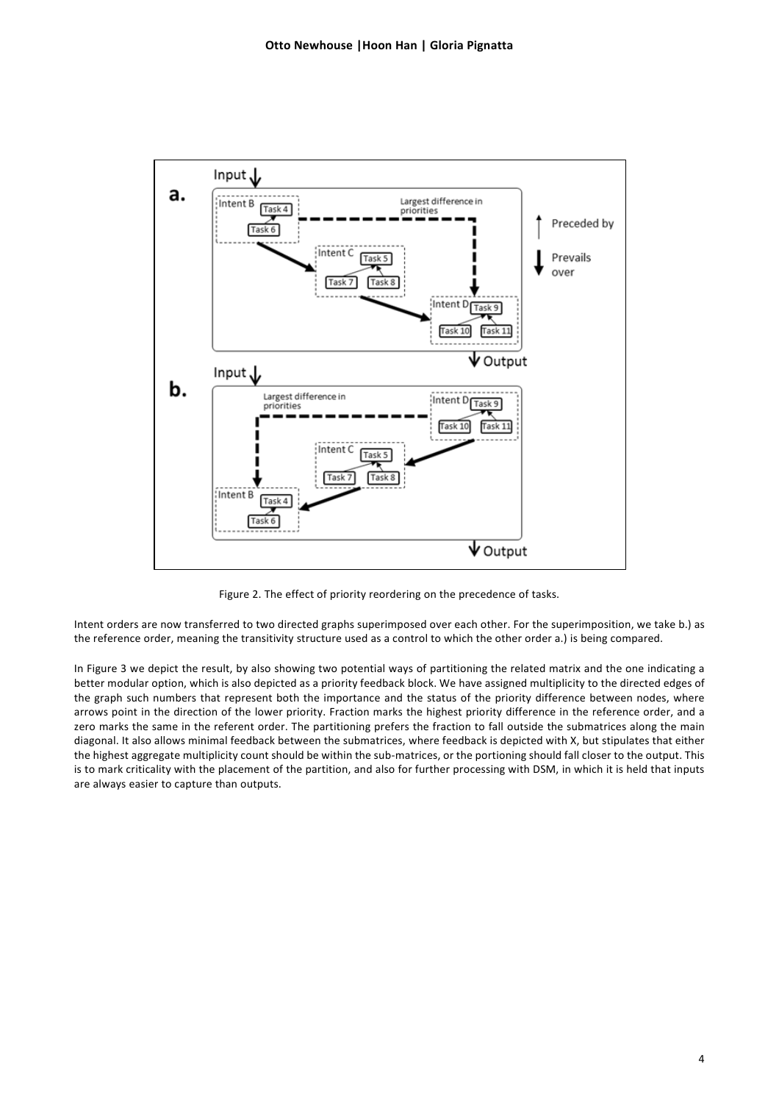

Figure 2. The effect of priority reordering on the precedence of tasks.

<span id="page-3-0"></span>Intent orders are now transferred to two directed graphs superimposed over each other. For the superimposition, we take b.) as the reference order, meaning the transitivity structure used as a control to which the other order a.) is being compared.

In Figure 3 we depict the result, by also showing two potential ways of partitioning the related matrix and the one indicating a better modular option, which is also depicted as a priority feedback block. We have assigned multiplicity to the directed edges of the graph such numbers that represent both the importance and the status of the priority difference between nodes, where arrows point in the direction of the lower priority. Fraction marks the highest priority difference in the reference order, and a zero marks the same in the referent order. The partitioning prefers the fraction to fall outside the submatrices along the main diagonal. It also allows minimal feedback between the submatrices, where feedback is depicted with X, but stipulates that either the highest aggregate multiplicity count should be within the sub-matrices, or the portioning should fall closer to the output. This is to mark criticality with the placement of the partition, and also for further processing with DSM, in which it is held that inputs are always easier to capture than outputs.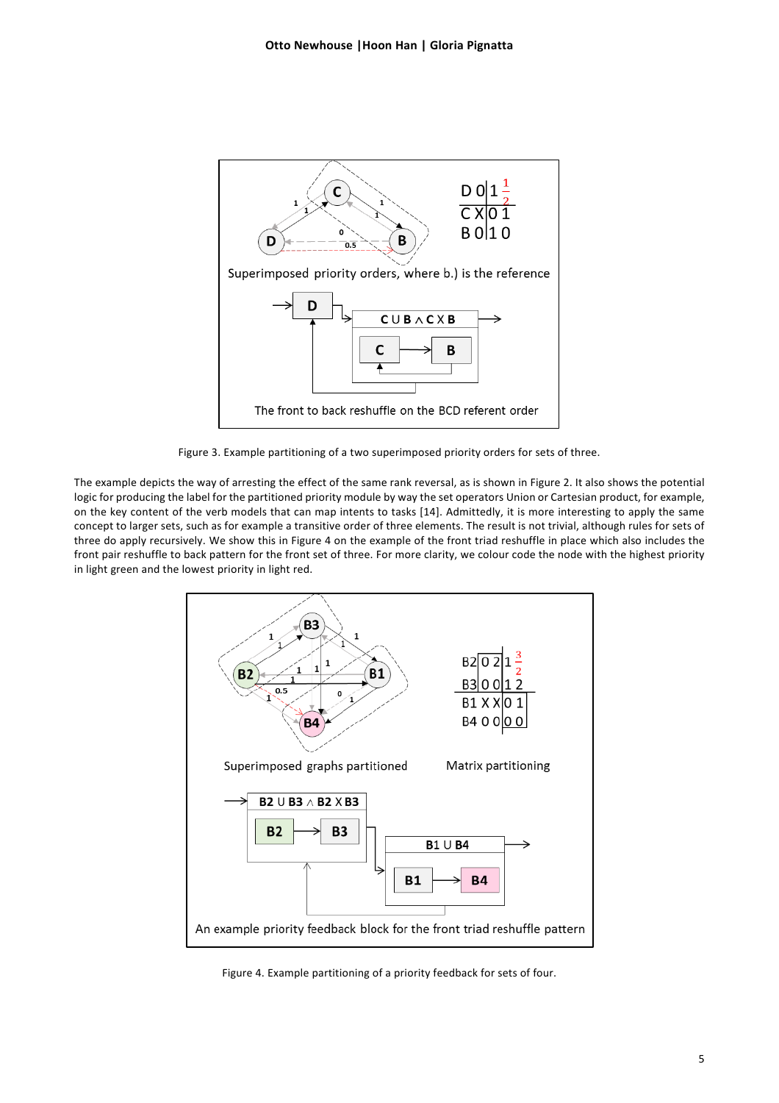

Figure 3. Example partitioning of a two superimposed priority orders for sets of three.

The example depicts the way of arresting the effect of the same rank reversal, as is shown in [Figure 2.](#page-3-0) It also shows the potential logic for producing the label for the partitioned priority module by way the set operators Union or Cartesian product, for example, on the key content of the verb models that can map intents to tasks [14]. Admittedly, it is more interesting to apply the same concept to larger sets, such as for example a transitive order of three elements. The result is not trivial, although rules for sets of three do apply recursively. We show this i[n Figure 4](#page-4-0) on the example of the front triad reshuffle in place which also includes the front pair reshuffle to back pattern for the front set of three. For more clarity, we colour code the node with the highest priority in light green and the lowest priority in light red.



<span id="page-4-0"></span>Figure 4. Example partitioning of a priority feedback for sets of four.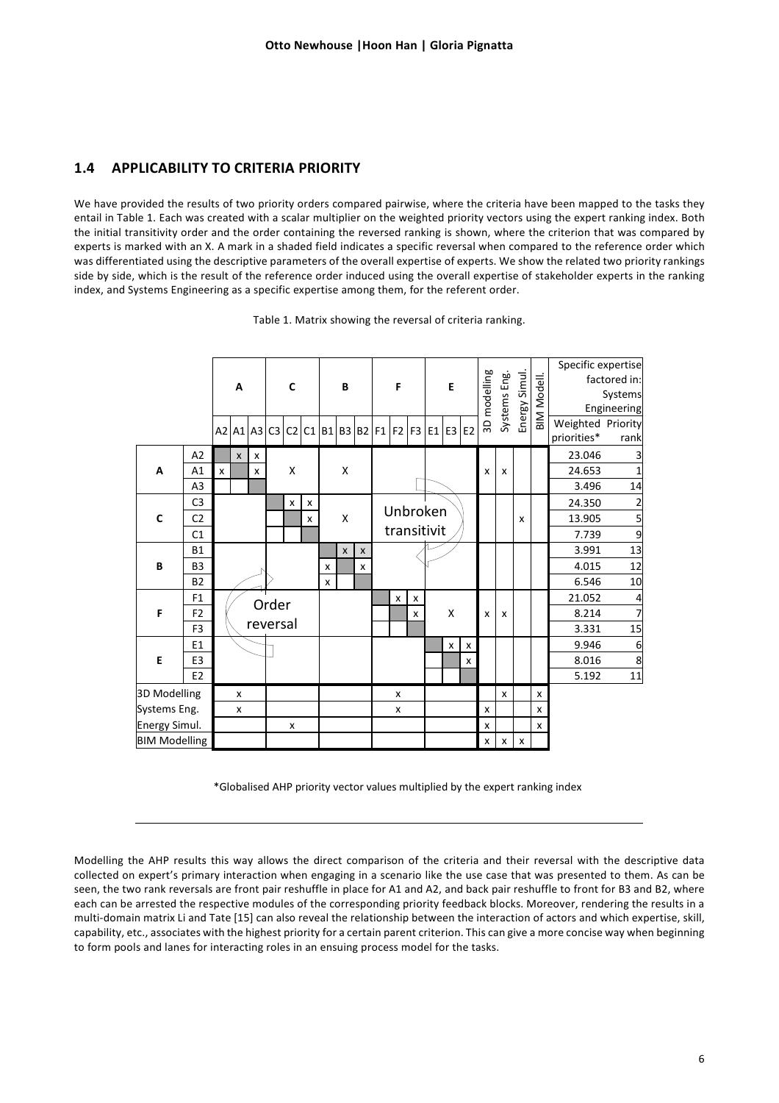# **1.4 APPLICABILITY TO CRITERIA PRIORITY**

We have provided the results of two priority orders compared pairwise, where the criteria have been mapped to the tasks they entail in Table 1. Each was created with a scalar multiplier on the weighted priority vectors using the expert ranking index. Both the initial transitivity order and the order containing the reversed ranking is shown, where the criterion that was compared by experts is marked with an X. A mark in a shaded field indicates a specific reversal when compared to the reference order which was differentiated using the descriptive parameters of the overall expertise of experts. We show the related two priority rankings side by side, which is the result of the reference order induced using the overall expertise of stakeholder experts in the ranking index, and Systems Engineering as a specific expertise among them, for the referent order.

|                      | A              |                   |                                           | $\mathbf c$ |                |                | В           |           |                    | F            |          |                | E |   |   | 3D modelling |        | Systems Eng.<br>Energy Simul. | BIM Modell.  | Specific expertise<br>factored in:<br>Systems<br>Engineering |                                  |            |
|----------------------|----------------|-------------------|-------------------------------------------|-------------|----------------|----------------|-------------|-----------|--------------------|--------------|----------|----------------|---|---|---|--------------|--------|-------------------------------|--------------|--------------------------------------------------------------|----------------------------------|------------|
|                      |                |                   |                                           | A2 A1 A3    | C <sub>3</sub> | C <sub>2</sub> |             | $C1$ B1B3 |                    |              |          | B2 F1 F2 F3 E1 |   |   |   | $E3$ $E2$    |        |                               |              |                                                              | Weighted Priority<br>priorities* | rank       |
| A                    | A2             |                   | $\mathsf{x}$<br>$\boldsymbol{\mathsf{x}}$ |             |                |                |             |           |                    |              |          |                |   |   |   |              |        |                               |              | 23.046                                                       | 3                                |            |
|                      | A1             | $\mathsf{x}$<br>X |                                           |             | X              |                | X           |           |                    |              |          |                |   | X | X |              |        | 24.653                        | 1            |                                                              |                                  |            |
|                      | A <sub>3</sub> |                   |                                           |             |                |                |             |           |                    |              |          |                |   |   |   |              |        |                               | 3.496        | 14                                                           |                                  |            |
| $\mathbf c$          | C <sub>3</sub> |                   |                                           |             |                | x              | x           | X         |                    |              | Unbroken |                |   |   |   |              |        |                               | 24.350       | $\overline{2}$                                               |                                  |            |
|                      | C <sub>2</sub> |                   |                                           |             |                |                | X           |           |                    |              |          |                |   |   | X |              | 13.905 | 5                             |              |                                                              |                                  |            |
|                      | C <sub>1</sub> |                   |                                           |             |                |                |             |           |                    | transitivit  |          |                |   |   |   |              |        |                               | 7.739        | 9                                                            |                                  |            |
| B                    | <b>B1</b>      |                   |                                           |             |                |                |             |           | $\pmb{\mathsf{x}}$ | $\pmb{\chi}$ |          |                |   |   |   |              |        |                               |              |                                                              | 3.991                            | 13         |
|                      | B <sub>3</sub> |                   |                                           |             |                |                | x<br>X<br>X |           |                    |              |          |                |   |   |   |              |        |                               | 4.015        | 12                                                           |                                  |            |
|                      | <b>B2</b>      |                   |                                           |             |                |                |             |           |                    |              |          |                |   |   |   |              |        |                               | 6.546        | 10                                                           |                                  |            |
| F                    | F <sub>1</sub> |                   |                                           |             | Order          |                |             |           |                    |              | x        | x              |   |   |   |              |        |                               |              | 21.052                                                       | 4                                |            |
|                      | F <sub>2</sub> |                   |                                           |             |                |                |             |           |                    |              |          | x              | X |   |   | X            | x      |                               |              | 8.214                                                        | 7                                |            |
|                      | F <sub>3</sub> |                   |                                           |             | reversal       |                |             |           |                    |              |          |                |   |   |   |              |        |                               |              | 3.331                                                        | 15                               |            |
| E                    | E <sub>1</sub> |                   |                                           |             |                |                |             |           |                    |              |          | x<br>х         |   |   |   |              |        | 9.946                         | 6            |                                                              |                                  |            |
|                      | E <sub>3</sub> |                   |                                           |             |                |                |             |           |                    |              |          | x              |   |   |   |              |        | 8.016                         | $\bf 8$      |                                                              |                                  |            |
|                      | E <sub>2</sub> |                   |                                           |             |                |                |             |           |                    |              |          |                |   |   |   |              |        |                               |              |                                                              | 5.192                            | ${\bf 11}$ |
| 3D Modelling         |                | x                 |                                           |             |                |                |             |           |                    |              |          | x              |   |   |   |              |        | X                             |              | х                                                            |                                  |            |
| Systems Eng.         |                | x                 |                                           |             |                |                |             |           |                    |              |          | x              |   |   |   |              | x      |                               |              | x                                                            |                                  |            |
| Energy Simul.        |                |                   |                                           |             |                | x              |             |           |                    |              |          |                |   |   |   |              | X      |                               |              | x                                                            |                                  |            |
| <b>BIM Modelling</b> |                |                   |                                           |             |                |                |             |           |                    |              |          |                |   |   |   |              | X      | X                             | $\pmb{\chi}$ |                                                              |                                  |            |

Table 1. Matrix showing the reversal of criteria ranking.

\*Globalised AHP priority vector values multiplied by the expert ranking index

Modelling the AHP results this way allows the direct comparison of the criteria and their reversal with the descriptive data collected on expert's primary interaction when engaging in a scenario like the use case that was presented to them. As can be seen, the two rank reversals are front pair reshuffle in place for A1 and A2, and back pair reshuffle to front for B3 and B2, where each can be arrested the respective modules of the corresponding priority feedback blocks. Moreover, rendering the results in a multi-domain matrix Li and Tate [15] can also reveal the relationship between the interaction of actors and which expertise, skill, capability, etc., associates with the highest priority for a certain parent criterion. This can give a more concise way when beginning to form pools and lanes for interacting roles in an ensuing process model for the tasks.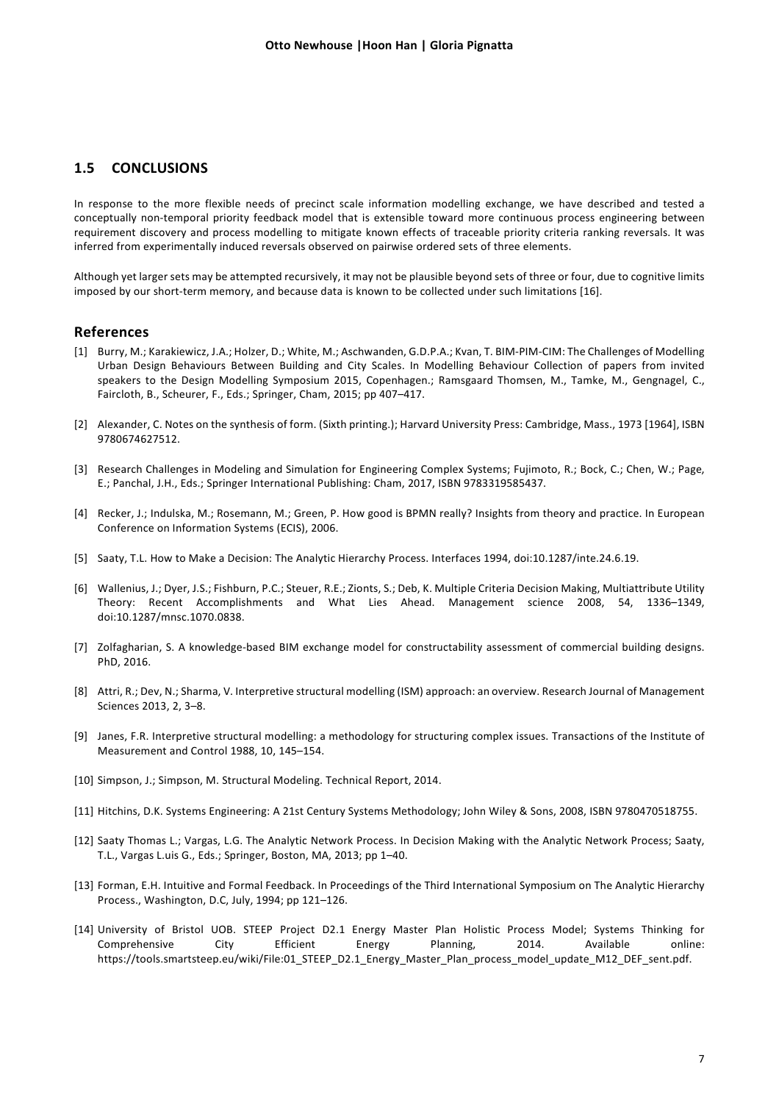### **1.5 CONCLUSIONS**

In response to the more flexible needs of precinct scale information modelling exchange, we have described and tested a conceptually non-temporal priority feedback model that is extensible toward more continuous process engineering between requirement discovery and process modelling to mitigate known effects of traceable priority criteria ranking reversals. It was inferred from experimentally induced reversals observed on pairwise ordered sets of three elements.

Although yet larger sets may be attempted recursively, it may not be plausible beyond sets of three or four, due to cognitive limits imposed by our short-term memory, and because data is known to be collected under such limitations [16].

### **References**

- [1] Burry, M.; Karakiewicz, J.A.; Holzer, D.; White, M.; Aschwanden, G.D.P.A.; Kvan, T. BIM-PIM-CIM: The Challenges of Modelling Urban Design Behaviours Between Building and City Scales. In Modelling Behaviour Collection of papers from invited speakers to the Design Modelling Symposium 2015, Copenhagen.; Ramsgaard Thomsen, M., Tamke, M., Gengnagel, C., Faircloth, B., Scheurer, F., Eds.; Springer, Cham, 2015; pp 407–417.
- [2] Alexander, C. Notes on the synthesis of form. (Sixth printing.); Harvard University Press: Cambridge, Mass., 1973 [1964], ISBN 9780674627512.
- [3] Research Challenges in Modeling and Simulation for Engineering Complex Systems; Fujimoto, R.; Bock, C.; Chen, W.; Page, E.; Panchal, J.H., Eds.; Springer International Publishing: Cham, 2017, ISBN 9783319585437.
- [4] Recker, J.; Indulska, M.; Rosemann, M.; Green, P. How good is BPMN really? Insights from theory and practice. In European Conference on Information Systems (ECIS), 2006.
- [5] Saaty, T.L. How to Make a Decision: The Analytic Hierarchy Process. Interfaces 1994, doi:10.1287/inte.24.6.19.
- [6] Wallenius, J.; Dyer, J.S.; Fishburn, P.C.; Steuer, R.E.; Zionts, S.; Deb, K. Multiple Criteria Decision Making, Multiattribute Utility Theory: Recent Accomplishments and What Lies Ahead. Management science 2008, 54, 1336–1349, doi:10.1287/mnsc.1070.0838.
- [7] Zolfagharian, S. A knowledge-based BIM exchange model for constructability assessment of commercial building designs. PhD, 2016.
- [8] Attri, R.; Dev, N.; Sharma, V. Interpretive structural modelling (ISM) approach: an overview. Research Journal of Management Sciences 2013, 2, 3–8.
- [9] Janes, F.R. Interpretive structural modelling: a methodology for structuring complex issues. Transactions of the Institute of Measurement and Control 1988, 10, 145–154.
- [10] Simpson, J.; Simpson, M. Structural Modeling. Technical Report, 2014.
- [11] Hitchins, D.K. Systems Engineering: A 21st Century Systems Methodology; John Wiley & Sons, 2008, ISBN 9780470518755.
- [12] Saaty Thomas L.; Vargas, L.G. The Analytic Network Process. In Decision Making with the Analytic Network Process; Saaty, T.L., Vargas L.uis G., Eds.; Springer, Boston, MA, 2013; pp 1–40.
- [13] Forman, E.H. Intuitive and Formal Feedback. In Proceedings of the Third International Symposium on The Analytic Hierarchy Process., Washington, D.C, July, 1994; pp 121–126.
- [14] University of Bristol UOB. STEEP Project D2.1 Energy Master Plan Holistic Process Model; Systems Thinking for Comprehensive City Efficient Energy Planning, 2014. Available online: https://tools.smartsteep.eu/wiki/File:01\_STEEP\_D2.1\_Energy\_Master\_Plan\_process\_model\_update\_M12\_DEF\_sent.pdf.